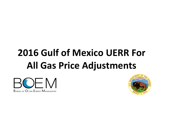# **2016 Gulf of Mexico UERR For All Gas Price Adjustments**